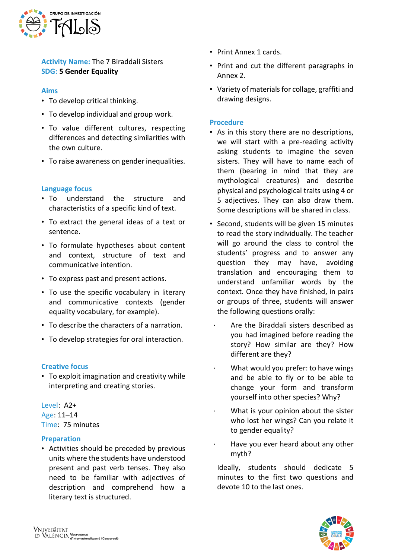

**Activity Name:** The 7 Biraddali Sisters **SDG: 5 Gender Equality**

### **Aims**

- To develop critical thinking.
- To develop individual and group work.
- To value different cultures, respecting differences and detecting similarities with the own culture.
- To raise awareness on gender inequalities.

### **Language focus**

- To understand the structure and characteristics of a specific kind of text.
- To extract the general ideas of a text or sentence.
- To formulate hypotheses about content and context, structure of text and communicative intention.
- To express past and present actions.
- To use the specific vocabulary in literary and communicative contexts (gender equality vocabulary, for example).
- To describe the characters of a narration.
- To develop strategies for oral interaction.

### **Creative focus**

• To exploit imagination and creativity while interpreting and creating stories.

Level: A2+ Age: 11–14 Time: 75 minutes

### **Preparation**

• Activities should be preceded by previous units where the students have understood present and past verb tenses. They also need to be familiar with adjectives of description and comprehend how a literary text is structured.

- Print Annex 1 cards.
- Print and cut the different paragraphs in Annex 2.
- Variety of materials for collage, graffiti and drawing designs.

### **Procedure**

- As in this story there are no descriptions, we will start with a pre-reading activity asking students to imagine the seven sisters. They will have to name each of them (bearing in mind that they are mythological creatures) and describe physical and psychological traits using 4 or 5 adjectives. They can also draw them. Some descriptions will be shared in class.
- Second, students will be given 15 minutes to read the story individually. The teacher will go around the class to control the students' progress and to answer any question they may have, avoiding translation and encouraging them to understand unfamiliar words by the context. Once they have finished, in pairs or groups of three, students will answer the following questions orally:
	- ⋅ Are the Biraddali sisters described as you had imagined before reading the story? How similar are they? How different are they?
	- What would you prefer: to have wings and be able to fly or to be able to change your form and transform yourself into other species? Why?
	- What is your opinion about the sister who lost her wings? Can you relate it to gender equality?
	- Have you ever heard about any other myth?

Ideally, students should dedicate 5 minutes to the first two questions and devote 10 to the last ones.

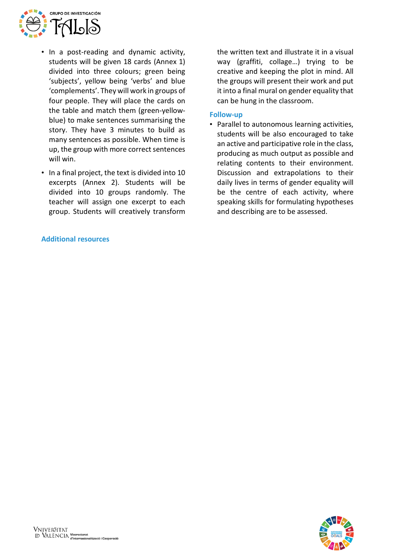

- In a post-reading and dynamic activity, students will be given 18 cards (Annex 1) divided into three colours; green being 'subjects', yellow being 'verbs' and blue 'complements'. They will work in groups of four people. They will place the cards on the table and match them (green-yellowblue) to make sentences summarising the story. They have 3 minutes to build as many sentences as possible. When time is up, the group with more correct sentences will win.
- In a final project, the text is divided into 10 excerpts (Annex 2). Students will be divided into 10 groups randomly. The teacher will assign one excerpt to each group. Students will creatively transform

### **Additional resources**

the written text and illustrate it in a visual way (graffiti, collage…) trying to be creative and keeping the plot in mind. All the groups will present their work and put it into a final mural on gender equality that can be hung in the classroom.

### **Follow-up**

• Parallel to autonomous learning activities, students will be also encouraged to take an active and participative role in the class, producing as much output as possible and relating contents to their environment. Discussion and extrapolations to their daily lives in terms of gender equality will be the centre of each activity, where speaking skills for formulating hypotheses and describing are to be assessed.

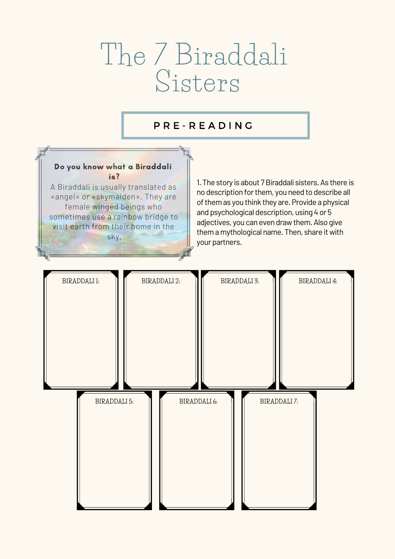# The 7 Biraddali Sisters

# P R E - R E A D I N G

# Do you know what a Biraddali is?

A Biraddali is usually translated as «angel» or «skymaiden». They are female winged beings who sometimes use a rainbow bridge to visit earth from their home in the sky.

1. The story is about 7 Biraddali sisters. As there is no description forthem, you need to describe all of them as you think they are. Provide a physical and psychological description, using 4 or 5 adjectives, you can even draw them. Also give them a mythological name. Then, share it with your partners.

### **BIRADDALI 1: BIRADDALI 2: BIRADDALI 3: BIRADDALI 4:**

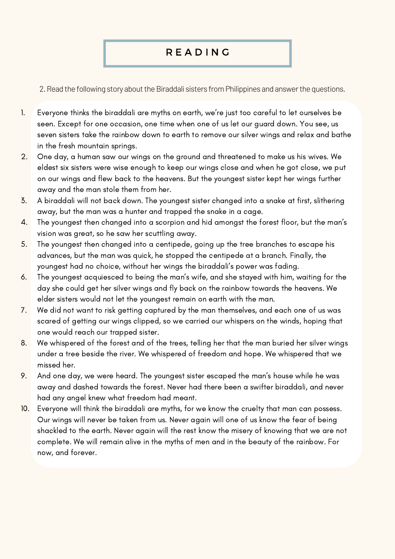- Everyone thinks the biraddali are myths on earth, we're just too careful to let ourselves be seen. Except for one occasion, one time when one of us let our guard down. You see, us seven sisters take the rainbow down to earth to remove our silver wings and relax and bathe in the fresh mountain springs. 1.
- One day, a human saw our wings on the ground and threatened to make us his wives. We eldest six sisters were wise enough to keep our wings close and when he got close, we put on our wings and flew back to the heavens. But the youngest sister kept her wings further away and the man stole them from her. 2.
- A biraddali will not back down. The youngest sister changed into a snake at first, slithering away, but the man was a hunter and trapped the snake in a cage. 3.
- The youngest then changed into a scorpion and hid amongst the forest floor, but the man ' s vision was great, so he saw her scuttling away. 4.
- The youngest then changed into a centipede, going up the tree branches to escape his advances, but the man was quick, he stopped the centipede at a branch. Finally, the youngest had no choice, without her wings the biraddali' s power was fading. 5.
- The youngest acquiesced to being the man ' s wife, and she stayed with him, waiting for the day she could get her silver wings and fly back on the rainbow towards the heavens. We elder sisters would not let the youngest remain on earth with the man. 6.
- We did not want to risk getting captured by the man themselves, and each one of us was scared of getting our wings clipped, so we carried our whispers on the winds, hoping that one would reach our trapped sister. 7.
- We whispered of the forest and of the trees, telling her that the man buried her silver wings under a tree beside the river. We whispered of freedom and hope. We whispered that we missed her. 8.
- And one day, we were heard. The youngest sister escaped the man ' s house while he was away and dashed towards the forest. Never had there been a swifter biraddali, and never had any angel knew what freedom had meant. 9.
- Everyone will think the biraddali are myths, for we know the cruelty that man can possess. Our wings will never be taken from us. Never again will one of us know the fear of being shackled to the earth. Never again will the rest know the misery of knowing that we are not complete. We will remain alive in the myths of men and in the beauty of the rainbow. For now, and forever. 10.

# R E A D I N G

2. Read the following story about the Biraddali sisters from Philippines and answer the questions.